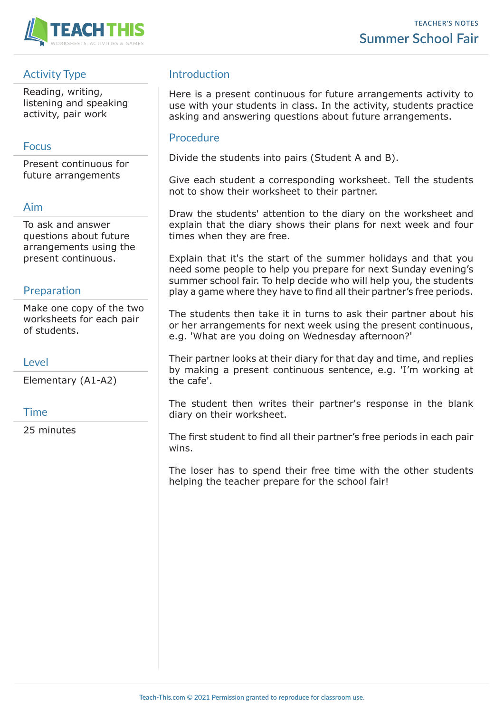

# Activity Type

Reading, writing, listening and speaking activity, pair work

## Focus

Present continuous for future arrangements

## Aim

To ask and answer questions about future arrangements using the present continuous.

### Preparation

Make one copy of the two worksheets for each pair of students.

### **Level**

Elementary (A1-A2)

#### Time

25 minutes

# Introduction

Here is a present continuous for future arrangements activity to use with your students in class. In the activity, students practice asking and answering questions about future arrangements.

### **Procedure**

Divide the students into pairs (Student A and B).

Give each student a corresponding worksheet. Tell the students not to show their worksheet to their partner.

Draw the students' attention to the diary on the worksheet and explain that the diary shows their plans for next week and four times when they are free.

Explain that it's the start of the summer holidays and that you need some people to help you prepare for next Sunday evening's summer school fair. To help decide who will help you, the students play a game where they have to find all their partner's free periods.

The students then take it in turns to ask their partner about his or her arrangements for next week using the present continuous, e.g. 'What are you doing on Wednesday afternoon?'

Their partner looks at their diary for that day and time, and replies by making a present continuous sentence, e.g. 'I'm working at the cafe'.

The student then writes their partner's response in the blank diary on their worksheet.

The first student to find all their partner's free periods in each pair wins.

The loser has to spend their free time with the other students helping the teacher prepare for the school fair!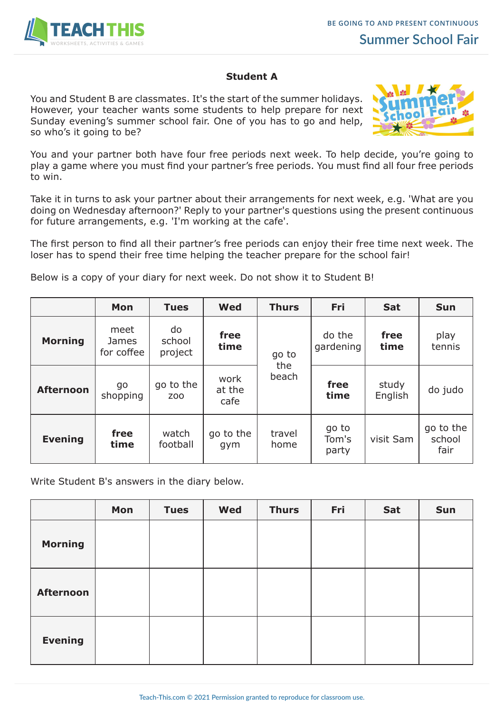

#### **Student A**

You and Student B are classmates. It's the start of the summer holidays. However, your teacher wants some students to help prepare for next Sunday evening's summer school fair. One of you has to go and help, so who's it going to be?



You and your partner both have four free periods next week. To help decide, you're going to play a game where you must find your partner's free periods. You must find all four free periods to win.

Take it in turns to ask your partner about their arrangements for next week, e.g. 'What are you doing on Wednesday afternoon?' Reply to your partner's questions using the present continuous for future arrangements, e.g. 'I'm working at the cafe'.

The first person to find all their partner's free periods can enjoy their free time next week. The loser has to spend their free time helping the teacher prepare for the school fair!

Below is a copy of your diary for next week. Do not show it to Student B!

|                  | Mon                         | <b>Tues</b>                 | <b>Wed</b>             | <b>Thurs</b>          | <b>Fri</b>              | <b>Sat</b>       | <b>Sun</b>                  |
|------------------|-----------------------------|-----------------------------|------------------------|-----------------------|-------------------------|------------------|-----------------------------|
| <b>Morning</b>   | meet<br>James<br>for coffee | do<br>school<br>project     | free<br>time           | go to<br>the<br>beach | do the<br>gardening     | free<br>time     | play<br>tennis              |
| <b>Afternoon</b> | go<br>shopping              | go to the<br>Z <sub>0</sub> | work<br>at the<br>cafe |                       | free<br>time            | study<br>English | do judo                     |
| <b>Evening</b>   | free<br>time                | watch<br>football           | go to the<br>gym       | travel<br>home        | go to<br>Tom's<br>party | visit Sam        | go to the<br>school<br>fair |

Write Student B's answers in the diary below.

|                  | Mon | <b>Tues</b> | <b>Wed</b> | <b>Thurs</b> | Fri | Sat | <b>Sun</b> |
|------------------|-----|-------------|------------|--------------|-----|-----|------------|
| <b>Morning</b>   |     |             |            |              |     |     |            |
| <b>Afternoon</b> |     |             |            |              |     |     |            |
| <b>Evening</b>   |     |             |            |              |     |     |            |